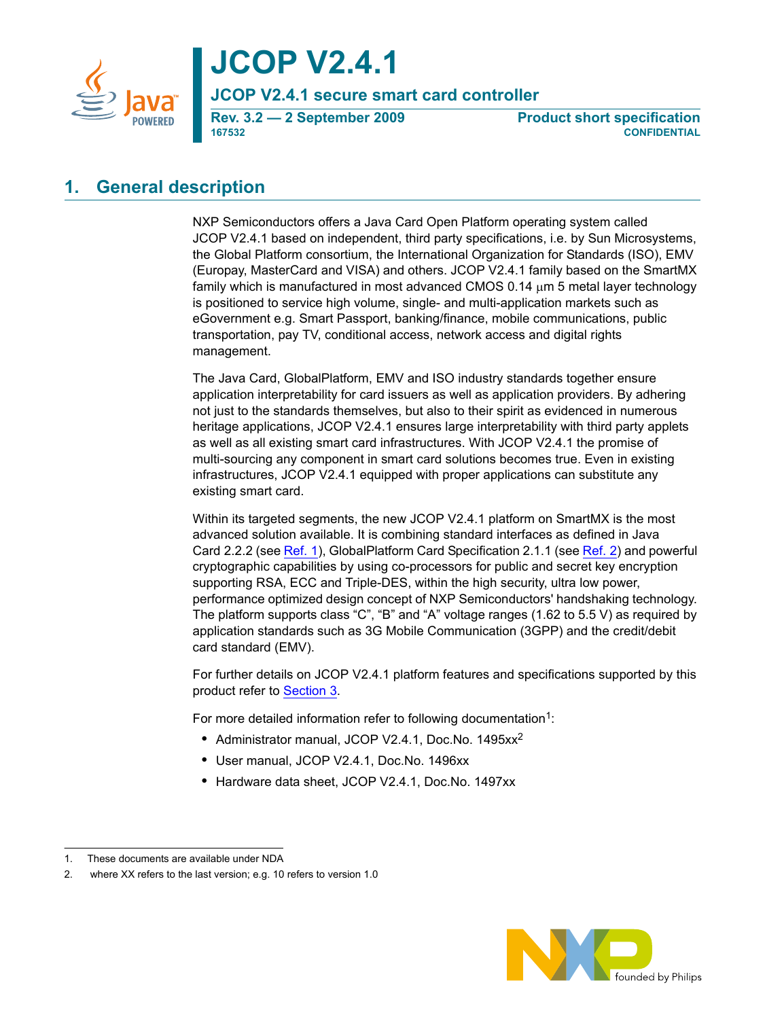

**JCOP V2.4.1**

**JCOP V2.4.1 secure smart card controller**

**167532 CONFIDENTIAL**

**Rev. 3.2 — 2 September 2009 Product short specification**

## <span id="page-0-0"></span>**1. General description**

NXP Semiconductors offers a Java Card Open Platform operating system called JCOP V2.4.1 based on independent, third party specifications, i.e. by Sun Microsystems, the Global Platform consortium, the International Organization for Standards (ISO), EMV (Europay, MasterCard and VISA) and others. JCOP V2.4.1 family based on the SmartMX family which is manufactured in most advanced CMOS 0.14 μm 5 metal layer technology is positioned to service high volume, single- and multi-application markets such as eGovernment e.g. Smart Passport, banking/finance, mobile communications, public transportation, pay TV, conditional access, network access and digital rights management.

The Java Card, GlobalPlatform, EMV and ISO industry standards together ensure application interpretability for card issuers as well as application providers. By adhering not just to the standards themselves, but also to their spirit as evidenced in numerous heritage applications, JCOP V2.4.1 ensures large interpretability with third party applets as well as all existing smart card infrastructures. With JCOP V2.4.1 the promise of multi-sourcing any component in smart card solutions becomes true. Even in existing infrastructures, JCOP V2.4.1 equipped with proper applications can substitute any existing smart card.

Within its targeted segments, the new JCOP V2.4.1 platform on SmartMX is the most advanced solution available. It is combining standard interfaces as defined in Java Card 2.2.2 (see [Ref.](#page-14-1) 1), GlobalPlatform Card Specification 2.1.1 (see Ref. 2) and powerful cryptographic capabilities by using co-processors for public and secret key encryption supporting RSA, ECC and Triple-DES, within the high security, ultra low power, performance optimized design concept of NXP Semiconductors' handshaking technology. The platform supports class "C", "B" and "A" voltage ranges (1.62 to 5.5 V) as required by application standards such as 3G Mobile Communication (3GPP) and the credit/debit card standard (EMV).

For further details on JCOP V2.4.1 platform features and specifications supported by this product refer to [Section](#page-2-0) 3.

For more detailed information refer to following documentation<sup>1</sup>:

- **•** Administrator manual, JCOP V2.4.1, Doc.No. 1495xx2
- **•** User manual, JCOP V2.4.1, Doc.No. 1496xx
- **•** Hardware data sheet, JCOP V2.4.1, Doc.No. 1497xx



<sup>1.</sup> These documents are available under NDA

<sup>2.</sup> where XX refers to the last version; e.g. 10 refers to version 1.0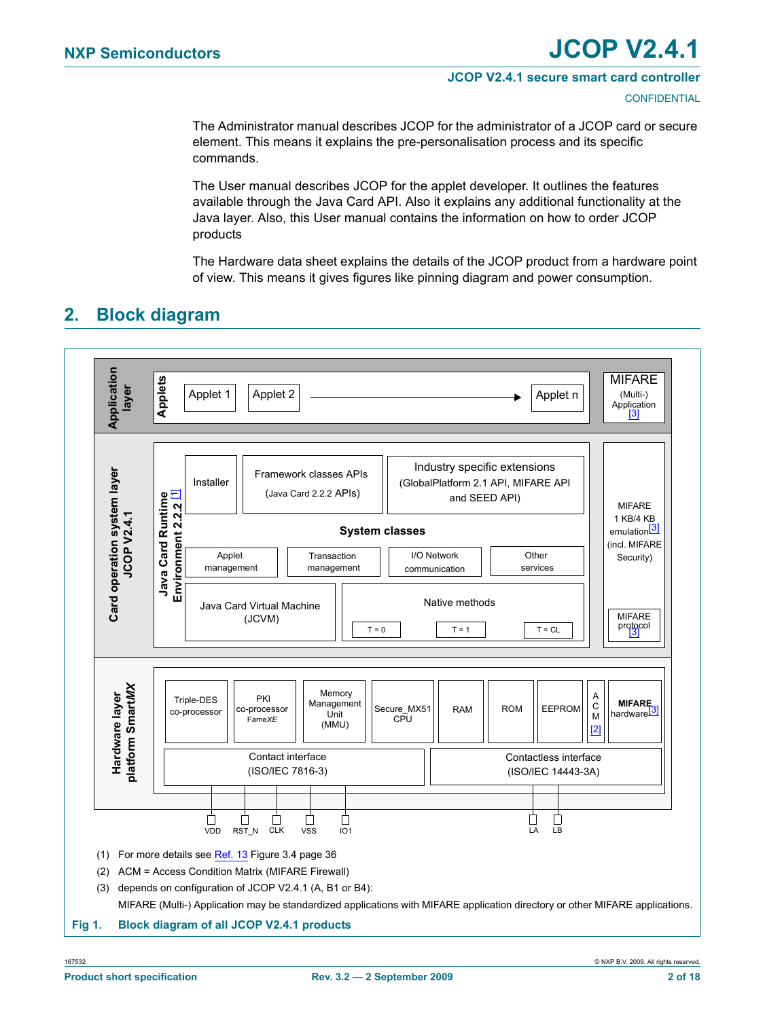#### **JCOP V2.4.1 secure smart card controller**

**CONFIDENTIAL** 

The Administrator manual describes JCOP for the administrator of a JCOP card or secure element. This means it explains the pre-personalisation process and its specific commands.

The User manual describes [JCOP](https://www.cardlogix.com/product-tag/jcop/) for the applet developer. It outlines the features available through the Java Card API. Also it explains any additional functionality at the Java layer. Also, this User manual contains the information on how to order JCOP products

The Hardware data sheet explains the details of the JCOP product from a hardware point of view. This means it gives figures like pinning diagram and power consumption.

## <span id="page-1-4"></span>**2. Block diagram**

<span id="page-1-3"></span><span id="page-1-2"></span><span id="page-1-1"></span><span id="page-1-0"></span>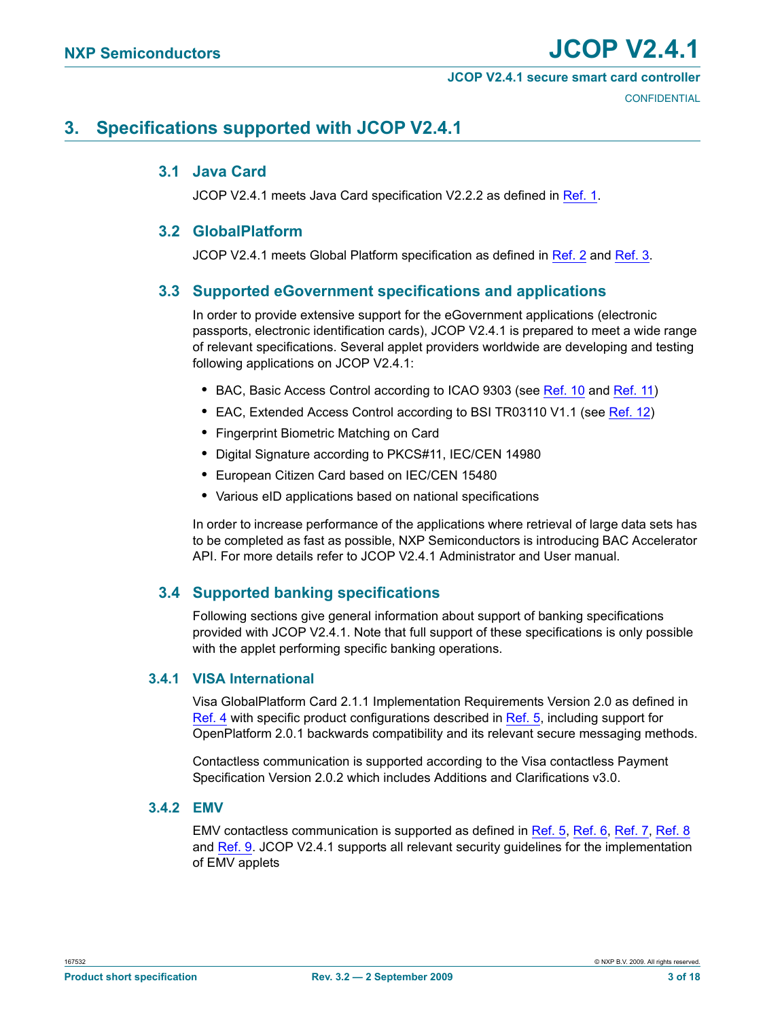#### **JCOP V2.4.1 secure smart card controller**

## <span id="page-2-5"></span><span id="page-2-0"></span>**3. Specifications supported with JCOP V2.4.1**

### **3.1 Java Card**

JCOP V2.4.1 meets Java Card specification V2.2.2 as defined in [Ref.](#page-14-0) 1.

### <span id="page-2-1"></span>**3.2 GlobalPlatform**

JCOP V2.4.1 meets Global Platform specification as defined in [Ref.](#page-14-1) 2 and Ref. 3.

#### <span id="page-2-2"></span>**3.3 Supported eGovernment specifications and applications**

In order to provide extensive support for the eGovernment applications (electronic passports, electronic identification cards), JCOP V2.4.1 is prepared to meet a wide range of relevant specifications. Several applet providers worldwide are developing and testing following applications on JCOP V2.4.1:

- **•** BAC, Basic Access Control according to ICAO 9303 (see [Ref.](#page-14-5) 10 and [Ref.](#page-14-6) 11)
- **•** EAC, Extended Access Control according to BSI TR03110 V1.1 (see [Ref.](#page-14-7) 12)
- **•** Fingerprint Biometric Matching on Card
- **•** Digital Signature according to PKCS#11, IEC/CEN 14980
- **•** European Citizen Card based on IEC/CEN 15480
- **•** Various eID applications based on national specifications

In order to increase performance of the applications where retrieval of large data sets has to be completed as fast as possible, NXP Semiconductors is introducing BAC Accelerator API. For more details refer to JCOP V2.4.1 Administrator and User manual.

### <span id="page-2-6"></span>**3.4 Supported banking specifications**

Following sections give general information about support of banking specifications provided with JCOP V2.4.1. Note that full support of these specifications is only possible with the applet performing specific banking operations.

#### <span id="page-2-3"></span>**3.4.1 VISA International**

Visa GlobalPlatform Card 2.1.1 Implementation Requirements Version 2.0 as defined in [Ref.](#page-14-4) 4 with specific product configurations described in Ref. 5, including support for OpenPlatform 2.0.1 backwards compatibility and its relevant secure messaging methods.

Contactless communication is supported according to the Visa contactless Payment Specification Version 2.0.2 which includes Additions and Clarifications v3.0.

#### <span id="page-2-4"></span>**3.4.2 EMV**

EMV contactless communication is supported as defined in [Ref.](#page-14-4) 5, [Ref.](#page-14-8) 6, [Ref.](#page-14-9) 7, [Ref.](#page-14-10) 8 and [Ref.](#page-14-11) 9. JCOP V2.4.1 supports all relevant security guidelines for the implementation of EMV applets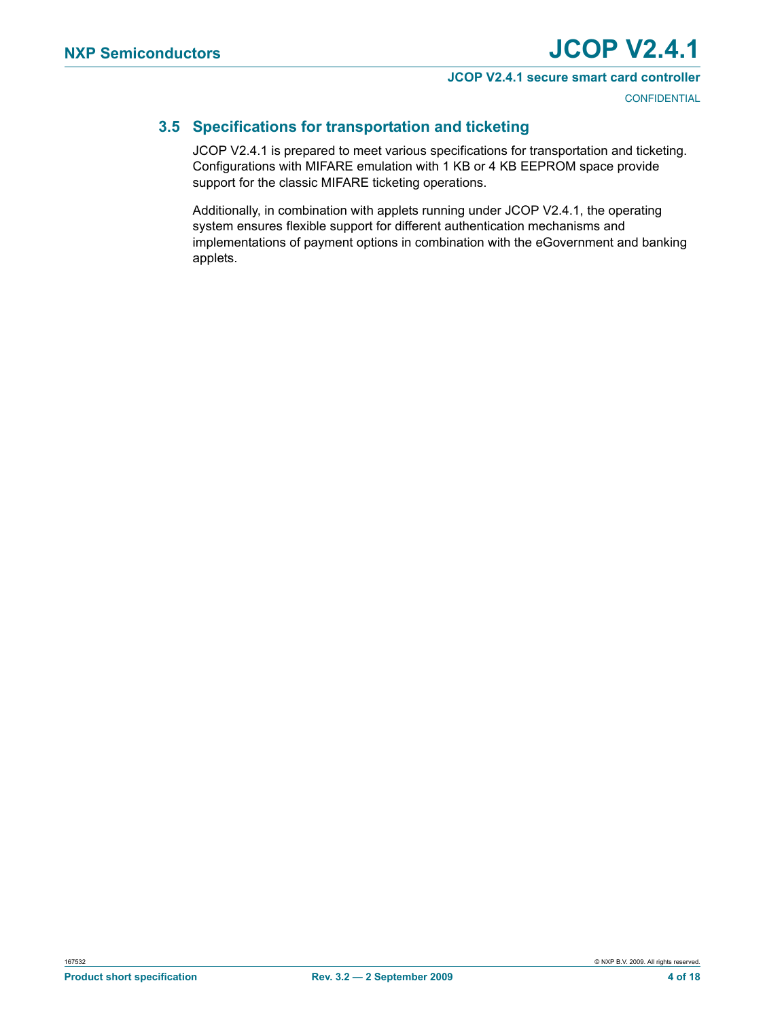#### **JCOP V2.4.1 secure smart card controller**

**CONFIDENTIAL** 

## <span id="page-3-0"></span>**3.5 Specifications for transportation and ticketing**

JCOP V2.4.1 is prepared to meet various specifications for transportation and ticketing. Configurations with MIFARE emulation with 1 KB or 4 KB EEPROM space provide support for the classic MIFARE ticketing operations.

Additionally, in combination with applets running under JCOP V2.4.1, the operating system ensures flexible support for different authentication mechanisms and implementations of payment options in combination with the eGovernment and banking applets.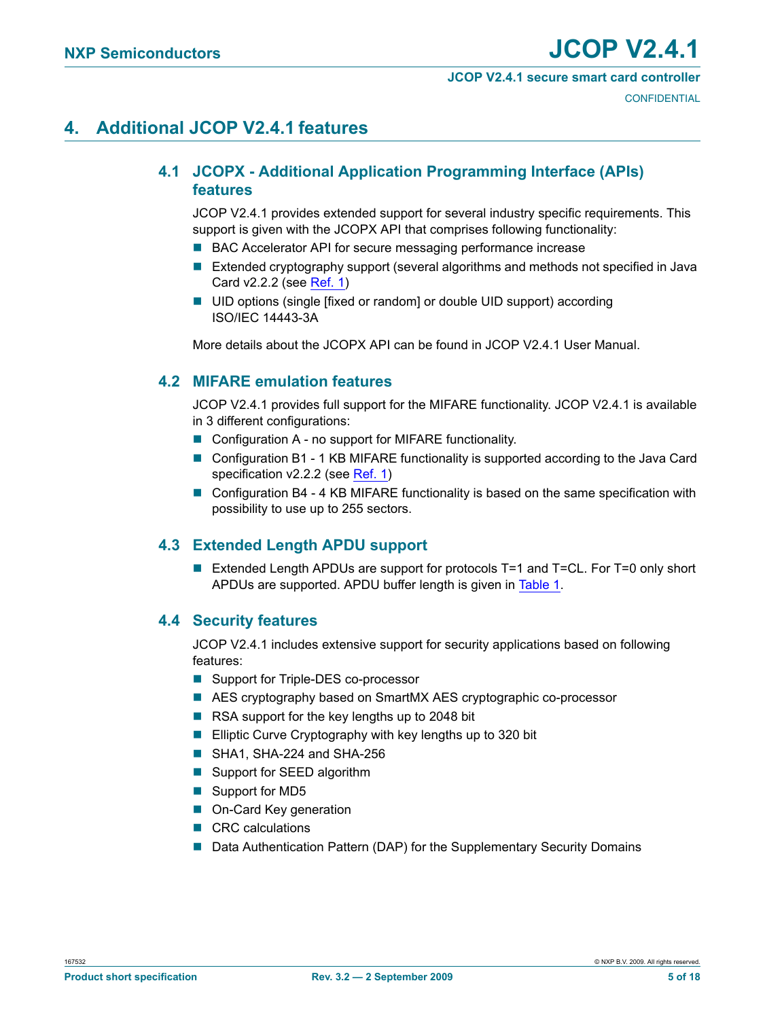#### **JCOP V2.4.1 secure smart card controller**

**CONFIDENTIAL** 

## <span id="page-4-3"></span><span id="page-4-0"></span>**4. Additional JCOP V2.4.1 features**

## **4.1 JCOPX - Additional Application Programming Interface (APIs) features**

JCOP V2.4.1 provides extended support for several industry specific requirements. This support is given with the JCOPX API that comprises following functionality:

- BAC Accelerator API for secure messaging performance increase
- Extended cryptography support (several algorithms and methods not specified in Java Card v2.2.2 (see [Ref.](#page-14-0) 1)
- UID options (single [fixed or random] or double UID support) according ISO/IEC 14443-3A

More details about the JCOPX API can be found in JCOP V2.4.1 User Manual.

### <span id="page-4-1"></span>**4.2 MIFARE emulation features**

JCOP V2.4.1 provides full support for the MIFARE functionality. JCOP V2.4.1 is available in 3 different configurations:

- Configuration A no support for MIFARE functionality.
- Configuration B1 1 KB MIFARE functionality is supported according to the Java Card specification v2.2.2 (see [Ref.](#page-14-0) 1)
- Configuration B4 4 KB MIFARE functionality is based on the same specification with possibility to use up to 255 sectors.

## <span id="page-4-2"></span>**4.3 Extended Length APDU support**

■ Extended Length APDUs are support for protocols T=1 and T=CL. For T=0 only short APDUs are supported. APDU buffer length is given in [Table](#page-5-0) 1.

### <span id="page-4-4"></span>**4.4 Security features**

JCOP V2.4.1 includes extensive support for security applications based on following features:

- Support for Triple-DES co-processor
- AES cryptography based on SmartMX AES cryptographic co-processor
- RSA support for the key lengths up to 2048 bit
- Elliptic Curve Cryptography with key lengths up to 320 bit
- SHA1, SHA-224 and SHA-256
- Support for SEED algorithm
- Support for MD5
- On-Card Key generation
- CRC calculations
- Data Authentication Pattern (DAP) for the Supplementary Security Domains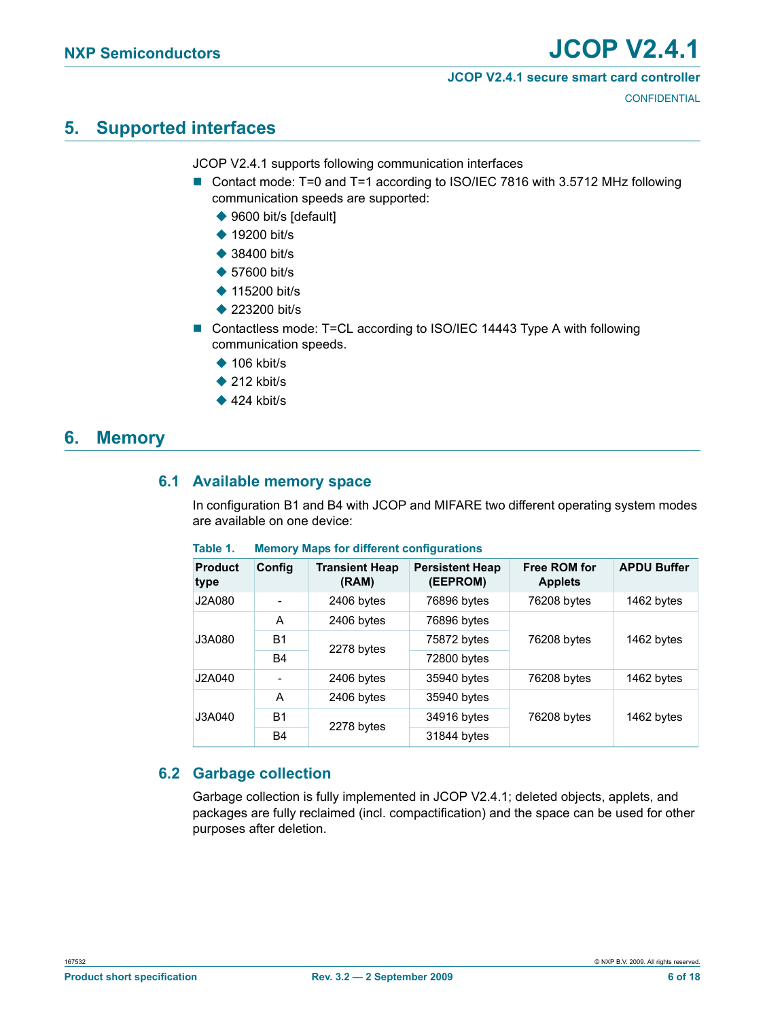#### **JCOP V2.4.1 secure smart card controller**

**CONFIDENTIAL** 

## <span id="page-5-2"></span>**5. Supported interfaces**

JCOP V2.4.1 supports following communication interfaces

- Contact mode: T=0 and T=1 according to ISO/IEC 7816 with 3.5712 MHz following communication speeds are supported:
	- ◆ 9600 bit/s [default]
	- $\triangle$  19200 bit/s
	- ◆ 38400 bit/s
	- ◆ 57600 bit/s
	- ◆ 115200 bit/s
	- ◆ 223200 bit/s
- Contactless mode: T=CL according to ISO/IEC 14443 Type A with following communication speeds.
	- $\triangle$  106 kbit/s
	- $\triangle$  212 kbit/s
	- $\triangle$  424 kbit/s

## <span id="page-5-3"></span><span id="page-5-1"></span>**6. Memory**

### **6.1 Available memory space**

In configuration B1 and B4 with JCOP and MIFARE two different operating system modes are available on one device:

| <b>Product</b><br>type    | Config    | <b>Transient Heap</b><br>(RAM) | <b>Persistent Heap</b><br>(EEPROM) | <b>Free ROM for</b><br><b>Applets</b> | <b>APDU Buffer</b> |  |
|---------------------------|-----------|--------------------------------|------------------------------------|---------------------------------------|--------------------|--|
| J2A080                    |           | 2406 bytes                     | 76896 bytes                        | 76208 bytes                           | 1462 bytes         |  |
|                           | A         | 2406 bytes                     | 76896 bytes                        |                                       |                    |  |
| B1<br>J3A080<br><b>B4</b> |           | 2278 bytes                     | 75872 bytes                        | 76208 bytes                           | 1462 bytes         |  |
|                           |           | 72800 bytes                    |                                    |                                       |                    |  |
| J2A040                    |           | 2406 bytes                     | 35940 bytes                        | 76208 bytes                           | 1462 bytes         |  |
|                           | A         | 2406 bytes                     | 35940 bytes                        |                                       |                    |  |
| J3A040                    | <b>B1</b> |                                | 34916 bytes                        | 76208 bytes                           | 1462 bytes         |  |
|                           | B4        | 2278 bytes                     | 31844 bytes                        |                                       |                    |  |

#### <span id="page-5-0"></span>**Table 1. Memory Maps for different configurations**

## <span id="page-5-4"></span>**6.2 Garbage collection**

Garbage collection is fully implemented in JCOP V2.4.1; deleted objects, applets, and packages are fully reclaimed (incl. compactification) and the space can be used for other purposes after deletion.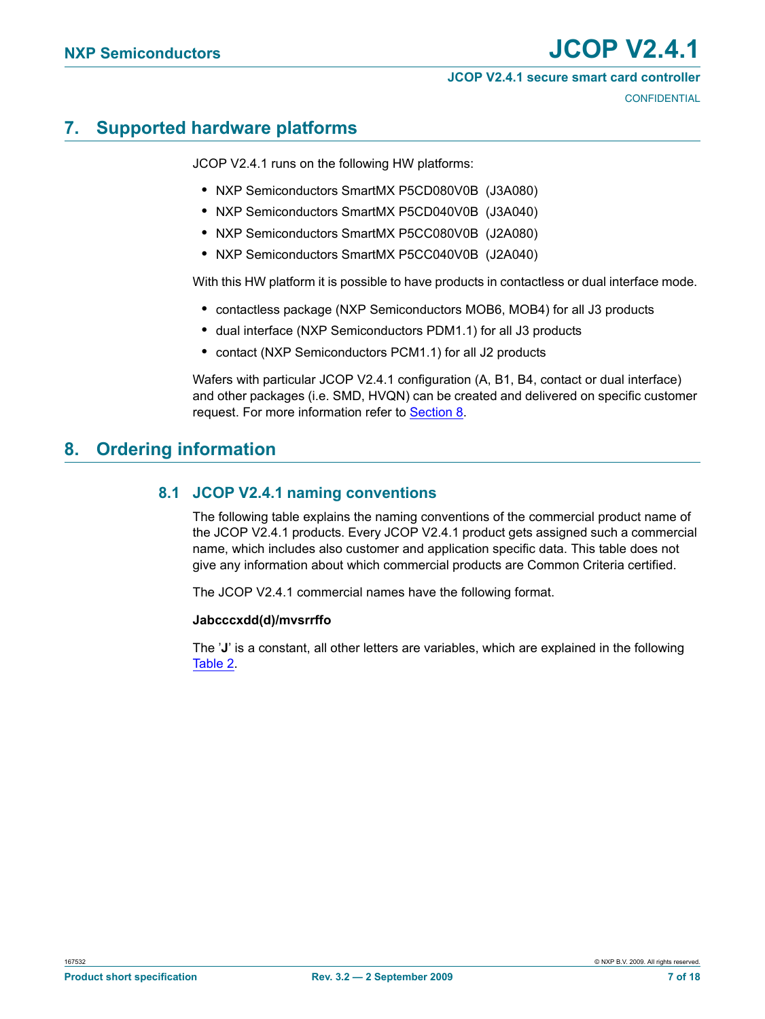#### **JCOP V2.4.1 secure smart card controller**

**CONFIDENTIAL** 

## <span id="page-6-2"></span>**7. Supported hardware platforms**

JCOP V2.4.1 runs on the following HW platforms:

- **•** NXP Semiconductors SmartMX P5CD080V0B (J3A080)
- **•** NXP Semiconductors SmartMX P5CD040V0B (J3A040)
- **•** NXP Semiconductors SmartMX [P5CC080V0B](https://www.cardlogix.com/product-tag/p5cc080/) [\(J2A080\)](https://www.cardlogix.com/product/nxp-j2a080-java-card-80k-2-4-1-rel-3-jcop/)
- **•** NXP Semiconductors SmartMX [P5CC040V0B](https://www.cardlogix.com/product-tag/p5cc40/) (J2A040)

With this HW platform it is possible to have products in contactless or dual interface mode.

- **•** contactless package (NXP Semiconductors MOB6, MOB4) for all J3 products
- **•** dual interface (NXP Semiconductors PDM1.1) for all J3 products
- **•** contact (NXP Semiconductors PCM1.1) for all J2 products

Wafers with particular JCOP V2.4.1 configuration (A, B1, B4, contact or dual interface) and other packages (i.e. SMD, HVQN) can be created and delivered on specific customer request. For more information refer to [Section](#page-6-0) 8.

## <span id="page-6-1"></span><span id="page-6-0"></span>**8. Ordering information**

### **8.1 JCOP V2.4.1 naming conventions**

The following table explains the naming conventions of the commercial product name of the JCOP V2.4.1 products. Every JCOP V2.4.1 product gets assigned such a commercial name, which includes also customer and application specific data. This table does not give any information about which commercial products are Common Criteria certified.

The JCOP V2.4.1 commercial names have the following format.

#### **Jabcccxdd(d)/mvsrrffo**

The '**J**' is a constant, all other letters are variables, which are explained in the following [Table](#page-7-0) 2.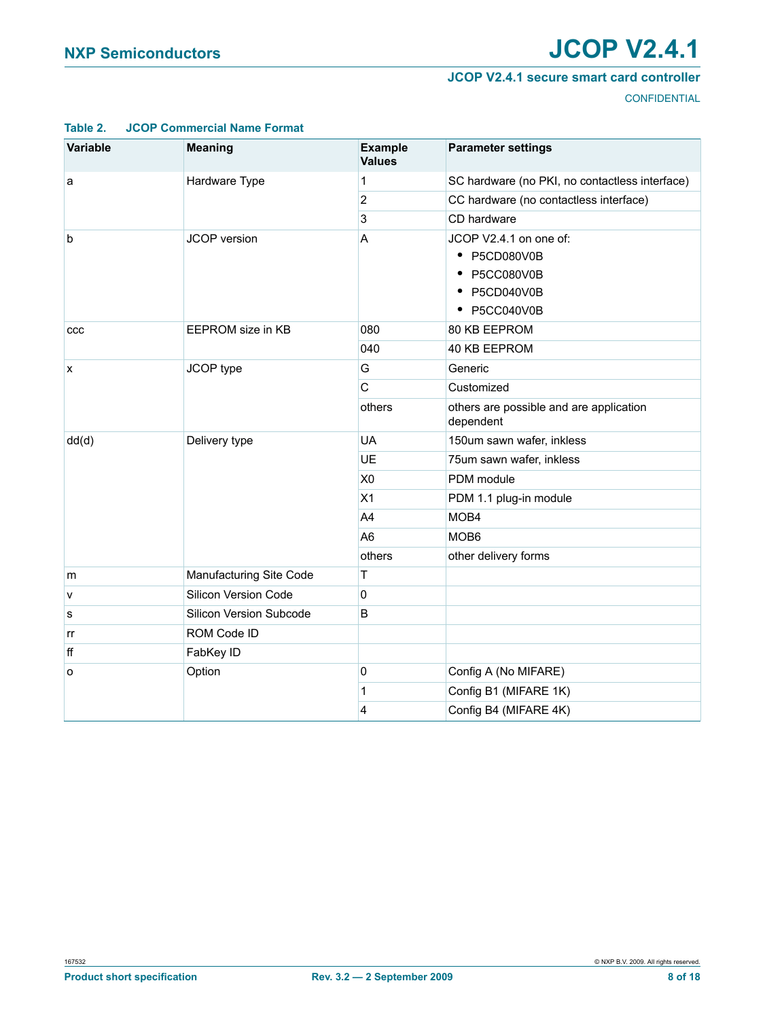#### **JCOP V2.4.1 secure smart card controller**

**CONFIDENTIAL** 

| Variable | <b>Meaning</b>          | <b>Example</b><br><b>Values</b> | <b>Parameter settings</b>                                                              |
|----------|-------------------------|---------------------------------|----------------------------------------------------------------------------------------|
| а        | Hardware Type           | 1                               | SC hardware (no PKI, no contactless interface)                                         |
|          |                         | $\overline{2}$                  | CC hardware (no contactless interface)                                                 |
|          |                         | 3                               | CD hardware                                                                            |
| b        | <b>JCOP</b> version     | A                               | JCOP V2.4.1 on one of:<br>• P5CD080V0B<br>• P5CC080V0B<br>• P5CD040V0B<br>• P5CC040V0B |
| ccc      | EEPROM size in KB       | 080                             | 80 KB EEPROM                                                                           |
|          |                         | 040                             | 40 KB EEPROM                                                                           |
| x        | JCOP type               | G                               | Generic                                                                                |
|          |                         | C                               | Customized                                                                             |
|          |                         | others                          | others are possible and are application<br>dependent                                   |
| dd(d)    | Delivery type           | <b>UA</b>                       | 150um sawn wafer, inkless                                                              |
|          |                         | UE                              | 75um sawn wafer, inkless                                                               |
|          |                         | X <sub>0</sub>                  | PDM module                                                                             |
|          |                         | X1                              | PDM 1.1 plug-in module                                                                 |
|          |                         | A4                              | MOB4                                                                                   |
|          |                         | A <sub>6</sub>                  | MOB <sub>6</sub>                                                                       |
|          |                         | others                          | other delivery forms                                                                   |
| m        | Manufacturing Site Code | Τ                               |                                                                                        |
| V        | Silicon Version Code    | 0                               |                                                                                        |
| s        | Silicon Version Subcode | B                               |                                                                                        |
| rr       | ROM Code ID             |                                 |                                                                                        |
| ff       | FabKey ID               |                                 |                                                                                        |
| o        | Option                  | 0                               | Config A (No MIFARE)                                                                   |
|          |                         | 1                               | Config B1 (MIFARE 1K)                                                                  |
|          |                         | 4                               | Config B4 (MIFARE 4K)                                                                  |

#### <span id="page-7-0"></span>**Table 2. JCOP Commercial Name Format**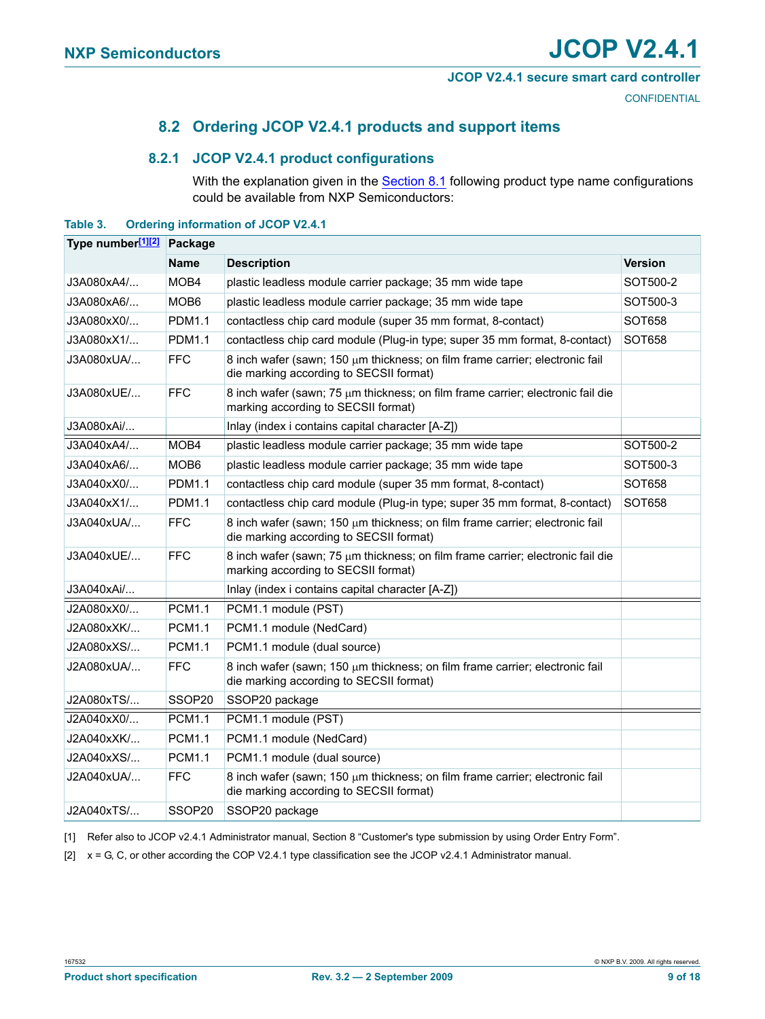#### **JCOP V2.4.1 secure smart card controller**

**CONFIDENTIAL** 

## **8.2 Ordering JCOP V2.4.1 products and support items**

#### <span id="page-8-3"></span>**8.2.1 JCOP V2.4.1 product configurations**

With the explanation given in the [Section](#page-6-1) 8.1 following product type name configurations could be available from NXP Semiconductors:

#### <span id="page-8-4"></span><span id="page-8-2"></span>**Table 3. Ordering information of JCOP V2.4.1**

| Type number <sup>[1][2]</sup> Package |                    |                                                                                                                         |                |  |  |  |  |  |
|---------------------------------------|--------------------|-------------------------------------------------------------------------------------------------------------------------|----------------|--|--|--|--|--|
|                                       | Name               | <b>Description</b>                                                                                                      | <b>Version</b> |  |  |  |  |  |
| J3A080xA4/                            | MOB4               | plastic leadless module carrier package; 35 mm wide tape                                                                | SOT500-2       |  |  |  |  |  |
| J3A080xA6/                            | MOB <sub>6</sub>   | plastic leadless module carrier package; 35 mm wide tape                                                                | SOT500-3       |  |  |  |  |  |
| J3A080xX0/                            | <b>PDM1.1</b>      | contactless chip card module (super 35 mm format, 8-contact)                                                            | SOT658         |  |  |  |  |  |
| J3A080xX1/                            | <b>PDM1.1</b>      | contactless chip card module (Plug-in type; super 35 mm format, 8-contact)                                              | SOT658         |  |  |  |  |  |
| J3A080xUA/                            | FFC.               | 8 inch wafer (sawn; 150 µm thickness; on film frame carrier; electronic fail<br>die marking according to SECSII format) |                |  |  |  |  |  |
| J3A080xUE/                            | FFC                | 8 inch wafer (sawn; 75 µm thickness; on film frame carrier; electronic fail die<br>marking according to SECSII format)  |                |  |  |  |  |  |
| J3A080xAi/                            |                    | Inlay (index i contains capital character [A-Z])                                                                        |                |  |  |  |  |  |
| J3A040xA4/                            | MOB4               | plastic leadless module carrier package; 35 mm wide tape                                                                | SOT500-2       |  |  |  |  |  |
| J3A040xA6/                            | MOB6               | plastic leadless module carrier package; 35 mm wide tape                                                                | SOT500-3       |  |  |  |  |  |
| J3A040xX0/                            | <b>PDM1.1</b>      | contactless chip card module (super 35 mm format, 8-contact)                                                            | SOT658         |  |  |  |  |  |
| J3A040xX1/                            | <b>PDM1.1</b>      | contactless chip card module (Plug-in type; super 35 mm format, 8-contact)                                              | SOT658         |  |  |  |  |  |
| J3A040xUA/                            | <b>FFC</b>         | 8 inch wafer (sawn; 150 µm thickness; on film frame carrier; electronic fail<br>die marking according to SECSII format) |                |  |  |  |  |  |
| J3A040xUE/                            | <b>FFC</b>         | 8 inch wafer (sawn; 75 µm thickness; on film frame carrier; electronic fail die<br>marking according to SECSII format)  |                |  |  |  |  |  |
| J3A040xAi/                            |                    | Inlay (index i contains capital character [A-Z])                                                                        |                |  |  |  |  |  |
| J2A080xX0/                            | <b>PCM1.1</b>      | PCM1.1 module (PST)                                                                                                     |                |  |  |  |  |  |
| J2A080xXK/                            | <b>PCM1.1</b>      | PCM1.1 module (NedCard)                                                                                                 |                |  |  |  |  |  |
| J2A080xXS/                            | <b>PCM1.1</b>      | PCM1.1 module (dual source)                                                                                             |                |  |  |  |  |  |
| J2A080xUA/                            | <b>FFC</b>         | 8 inch wafer (sawn; 150 µm thickness; on film frame carrier; electronic fail<br>die marking according to SECSII format) |                |  |  |  |  |  |
| J2A080xTS/                            | SSOP20             | SSOP20 package                                                                                                          |                |  |  |  |  |  |
| J2A040xX0/                            | <b>PCM1.1</b>      | PCM1.1 module (PST)                                                                                                     |                |  |  |  |  |  |
| J2A040xXK/                            | <b>PCM1.1</b>      | PCM1.1 module (NedCard)                                                                                                 |                |  |  |  |  |  |
| J2A040xXS/                            | <b>PCM1.1</b>      | PCM1.1 module (dual source)                                                                                             |                |  |  |  |  |  |
| J2A040xUA/                            | <b>FFC</b>         | 8 inch wafer (sawn; 150 µm thickness; on film frame carrier; electronic fail<br>die marking according to SECSII format) |                |  |  |  |  |  |
| J2A040xTS/                            | SSOP <sub>20</sub> | SSOP20 package                                                                                                          |                |  |  |  |  |  |

<span id="page-8-0"></span>[1] Refer also to JCOP v2.4.1 Administrator manual, Section 8 "Customer's type submission by using Order Entry Form".

<span id="page-8-1"></span>[2] x = G, C, or other according the COP V2.4.1 type classification see the JCOP v2.4.1 Administrator manual.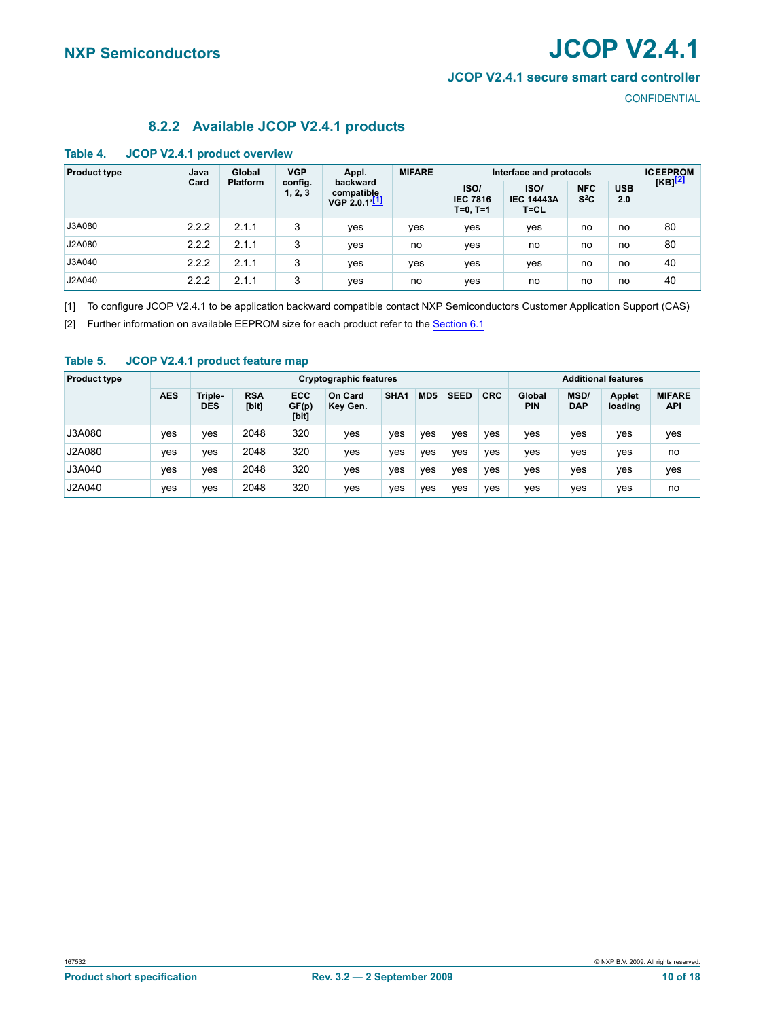#### **JCOP V2.4.1 secure smart card controller**

**CONFIDENTIAL** 

### **8.2.2 Available JCOP V2.4.1 products**

<span id="page-9-4"></span><span id="page-9-2"></span>

|  | Table 4. |  |  |  | <b>JCOP V2.4.1 product overview</b> |
|--|----------|--|--|--|-------------------------------------|
|--|----------|--|--|--|-------------------------------------|

| <b>Product type</b> | Java  | Global                     | <b>VGP</b> | Appl.                                   | <b>MIFARE</b> |                                       | Interface and protocols               |                      |                   | <b>ICEEPROM</b><br>[KB] <mark>[2]</mark> |
|---------------------|-------|----------------------------|------------|-----------------------------------------|---------------|---------------------------------------|---------------------------------------|----------------------|-------------------|------------------------------------------|
|                     | Card  | <b>Platform</b><br>1, 2, 3 | config.    | backward<br>compatible<br>VGP 2.0.1'[1] |               | ISO/<br><b>IEC 7816</b><br>$T=0, T=1$ | ISO/<br><b>IEC 14443A</b><br>$T = CL$ | <b>NFC</b><br>$S^2C$ | <b>USB</b><br>2.0 |                                          |
| J3A080              | 2.2.2 | 2.1.1                      | 3          | ves                                     | yes           | yes                                   | ves                                   | no                   | no                | 80                                       |
| J2A080              | 2.2.2 | 2.1.1                      | 3          | ves                                     | no            | ves                                   | no                                    | no                   | no                | 80                                       |
| J3A040              | 2.2.2 | 2.1.1                      | 3          | yes                                     | yes           | yes                                   | yes                                   | no                   | no                | 40                                       |
| J2A040              | 2.2.2 | 2.1.1                      | 3          | ves                                     | no            | ves                                   | no                                    | no                   | no                | 40                                       |

<span id="page-9-0"></span>[1] To configure JCOP V2.4.1 to be application backward compatible contact NXP Semiconductors Customer Application Support (CAS)

<span id="page-9-1"></span>[2] Further information on available EEPROM size for each product refer to the [Section](#page-5-1) 6.1

#### <span id="page-9-3"></span>**Table 5. JCOP V2.4.1 product feature map**

| <b>Product type</b> |            |                       | <b>Additional features</b><br>Cryptographic features |                              |                     |                  |     |             |            |                      |                    |                          |                             |
|---------------------|------------|-----------------------|------------------------------------------------------|------------------------------|---------------------|------------------|-----|-------------|------------|----------------------|--------------------|--------------------------|-----------------------------|
|                     | <b>AES</b> | Triple-<br><b>DES</b> | <b>RSA</b><br>[bit]                                  | <b>ECC</b><br>GF(p)<br>[bit] | On Card<br>Key Gen. | SHA <sub>1</sub> | MD5 | <b>SEED</b> | <b>CRC</b> | Global<br><b>PIN</b> | MSD/<br><b>DAP</b> | <b>Applet</b><br>loading | <b>MIFARE</b><br><b>API</b> |
| J3A080              | ves        | ves                   | 2048                                                 | 320                          | yes                 | ves              | ves | ves         | ves        | ves                  | yes                | yes                      | yes                         |
| J2A080              | ves        | ves                   | 2048                                                 | 320                          | yes                 | ves              | yes | ves         | ves        | ves                  | yes                | ves                      | no                          |
| J3A040              | ves        | ves                   | 2048                                                 | 320                          | yes                 | ves              | yes | ves         | ves        | ves                  | yes                | ves                      | yes                         |
| J2A040              | ves        | ves                   | 2048                                                 | 320                          | yes                 | ves              | yes | ves         | ves        | ves                  | yes                | ves                      | no                          |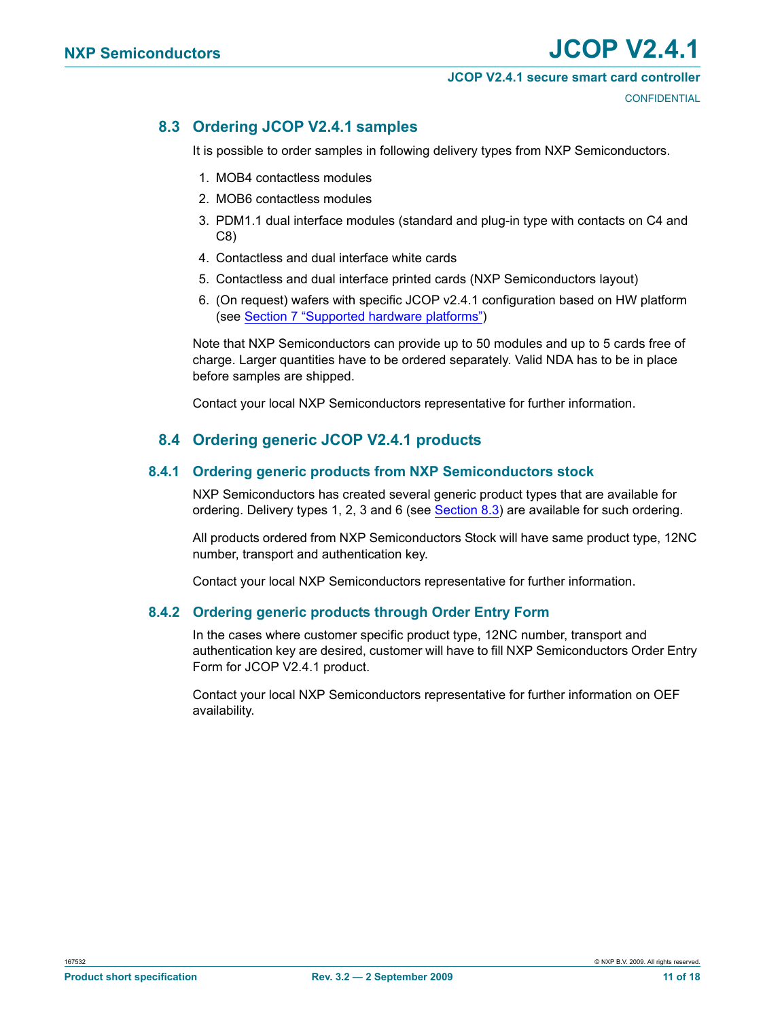#### **JCOP V2.4.1 secure smart card controller**

**CONFIDENTIAL** 

## <span id="page-10-0"></span>**8.3 Ordering JCOP V2.4.1 samples**

It is possible to order samples in following delivery types from NXP Semiconductors.

- 1. MOB4 contactless modules
- 2. MOB6 contactless modules
- 3. PDM1.1 dual interface modules (standard and plug-in type with contacts on C4 and C8)
- 4. Contactless and dual interface white cards
- 5. Contactless and dual interface printed cards (NXP Semiconductors layout)
- 6. (On request) wafers with specific JCOP v2.4.1 configuration based on HW platform (see [Section 7 "Supported hardware platforms"\)](#page-6-2)

Note that NXP Semiconductors can provide up to 50 modules and up to 5 cards free of charge. Larger quantities have to be ordered separately. Valid NDA has to be in place before samples are shipped.

Contact your local NXP Semiconductors representative for further information.

## **8.4 Ordering generic JCOP V2.4.1 products**

#### <span id="page-10-2"></span><span id="page-10-1"></span>**8.4.1 Ordering generic products from NXP Semiconductors stock**

NXP Semiconductors has created several generic product types that are available for ordering. Delivery types 1, 2, 3 and 6 (see [Section](#page-10-0) 8.3) are available for such ordering.

All products ordered from NXP Semiconductors Stock will have same product type, 12NC number, transport and authentication key.

Contact your local NXP Semiconductors representative for further information.

#### <span id="page-10-3"></span>**8.4.2 Ordering generic products through Order Entry Form**

In the cases where customer specific product type, 12NC number, transport and authentication key are desired, customer will have to fill NXP Semiconductors Order Entry Form for JCOP V2.4.1 product.

Contact your local NXP Semiconductors representative for further information on OEF availability.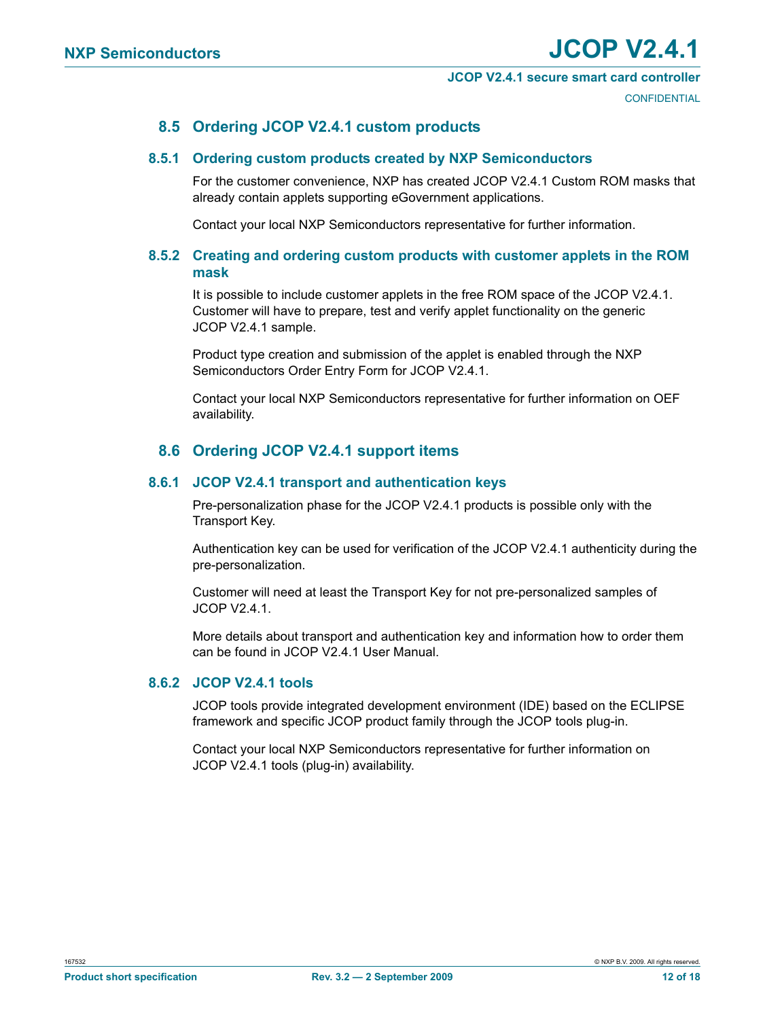#### **JCOP V2.4.1 secure smart card controller**

**CONFIDENTIAL** 

### **8.5 Ordering JCOP V2.4.1 custom products**

#### <span id="page-11-2"></span><span id="page-11-1"></span>**8.5.1 Ordering custom products created by NXP Semiconductors**

For the customer convenience, NXP has created JCOP V2.4.1 Custom ROM masks that already contain applets supporting eGovernment applications.

Contact your local NXP Semiconductors representative for further information.

#### <span id="page-11-0"></span>**8.5.2 Creating and ordering custom products with customer applets in the ROM mask**

It is possible to include customer applets in the free ROM space of the JCOP V2.4.1. Customer will have to prepare, test and verify applet functionality on the generic JCOP V2.4.1 sample.

Product type creation and submission of the applet is enabled through the NXP Semiconductors Order Entry Form for JCOP V2.4.1.

Contact your local NXP Semiconductors representative for further information on OEF availability.

### **8.6 Ordering JCOP V2.4.1 support items**

#### <span id="page-11-4"></span><span id="page-11-3"></span>**8.6.1 JCOP V2.4.1 transport and authentication keys**

Pre-personalization phase for the JCOP V2.4.1 products is possible only with the Transport Key.

Authentication key can be used for verification of the JCOP V2.4.1 authenticity during the pre-personalization.

Customer will need at least the Transport Key for not pre-personalized samples of JCOP V2.4.1.

More details about transport and authentication key and information how to order them can be found in JCOP V2.4.1 User Manual.

#### <span id="page-11-5"></span>**8.6.2 JCOP V2.4.1 tools**

JCOP tools provide integrated development environment (IDE) based on the ECLIPSE framework and specific JCOP product family through the JCOP tools plug-in.

Contact your local NXP Semiconductors representative for further information on JCOP V2.4.1 tools (plug-in) availability.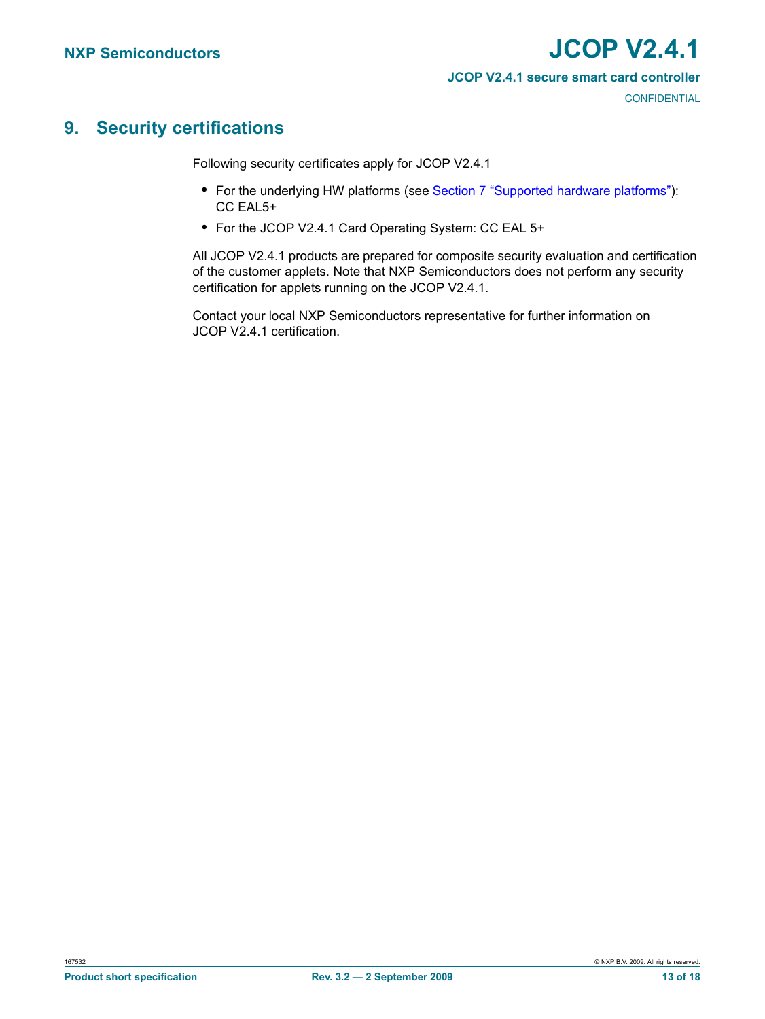#### **JCOP V2.4.1 secure smart card controller**

**CONFIDENTIAL** 

## <span id="page-12-0"></span>**9. Security certifications**

Following security certificates apply for JCOP V2.4.1

- **•** For the underlying HW platforms (see [Section 7 "Supported hardware platforms"](#page-6-2)): CC EAL5+
- **•** For the JCOP V2.4.1 Card Operating System: CC EAL 5+

All JCOP V2.4.1 products are prepared for composite security evaluation and certification of the customer applets. Note that NXP Semiconductors does not perform any security certification for applets running on the JCOP V2.4.1.

Contact your local NXP Semiconductors representative for further information on JCOP V2.4.1 certification.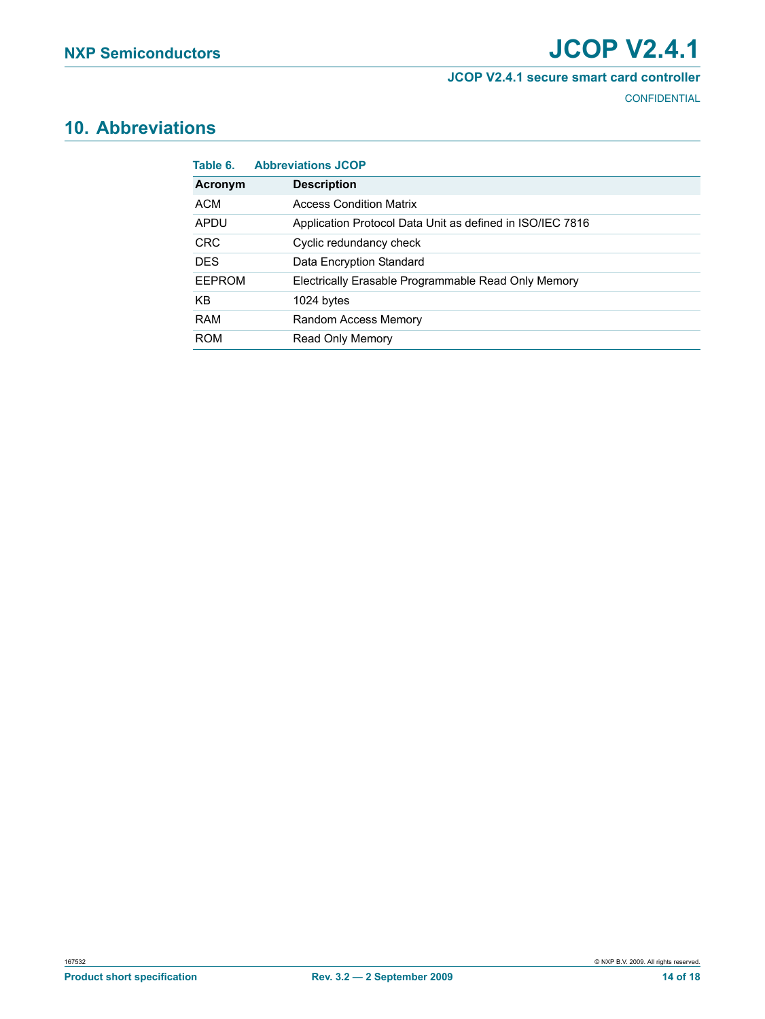#### **JCOP V2.4.1 secure smart card controller**

**CONFIDENTIAL** 

# <span id="page-13-1"></span>**10. Abbreviations**

<span id="page-13-0"></span>

| Table 6.   | <b>Abbreviations JCOP</b>                                 |
|------------|-----------------------------------------------------------|
| Acronym    | <b>Description</b>                                        |
| ACM        | <b>Access Condition Matrix</b>                            |
| APDU       | Application Protocol Data Unit as defined in ISO/IEC 7816 |
| <b>CRC</b> | Cyclic redundancy check                                   |
| <b>DES</b> | Data Encryption Standard                                  |
| FFPROM     | Electrically Erasable Programmable Read Only Memory       |
| KB.        | 1024 bytes                                                |
| <b>RAM</b> | Random Access Memory                                      |
| <b>ROM</b> | <b>Read Only Memory</b>                                   |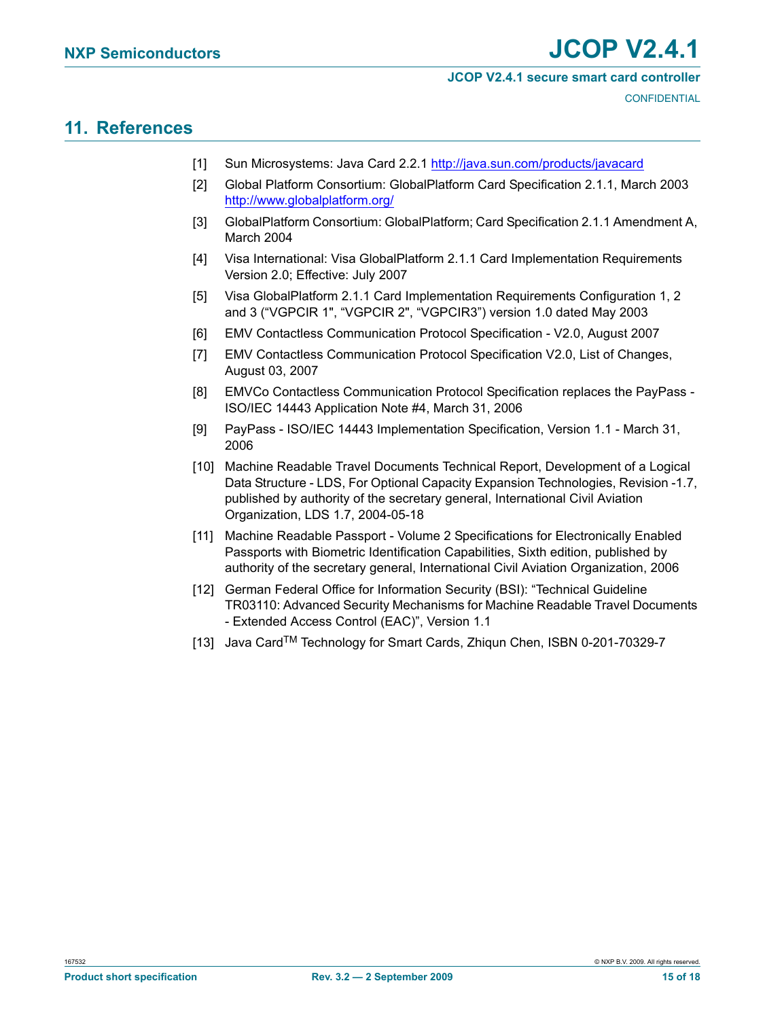#### **JCOP V2.4.1 secure smart card controller**

**CONFIDENTIAL** 

## <span id="page-14-12"></span>**11. References**

- <span id="page-14-0"></span>[1] Sun Microsystems: Java Card 2.2.1 http://java.sun.com/products/javacard
- <span id="page-14-1"></span>[2] Global Platform Consortium: GlobalPlatform Card Specification 2.1.1, March 2003 http://www.globalplatform.org/
- [3] GlobalPlatform Consortium: GlobalPlatform; Card Specification 2.1.1 Amendment A, March 2004
- <span id="page-14-3"></span>[4] Visa International: Visa GlobalPlatform 2.1.1 Card Implementation Requirements Version 2.0; Effective: July 2007
- <span id="page-14-4"></span>[5] Visa GlobalPlatform 2.1.1 Card Implementation Requirements Configuration 1, 2 and 3 ("VGPCIR 1", "VGPCIR 2", "VGPCIR3") version 1.0 dated May 2003
- <span id="page-14-8"></span>[6] EMV Contactless Communication Protocol Specification - V2.0, August 2007
- <span id="page-14-9"></span>[7] EMV Contactless Communication Protocol Specification V2.0, List of Changes, August 03, 2007
- <span id="page-14-10"></span>[8] EMVCo Contactless Communication Protocol Specification replaces the PayPass - ISO/IEC 14443 Application Note #4, March 31, 2006
- <span id="page-14-11"></span>[9] PayPass - ISO/IEC 14443 Implementation Specification, Version 1.1 - March 31, 2006
- <span id="page-14-5"></span>[10] Machine Readable Travel Documents Technical Report, Development of a Logical Data Structure - LDS, For Optional Capacity Expansion Technologies, Revision -1.7, published by authority of the secretary general, International Civil Aviation Organization, LDS 1.7, 2004-05-18
- <span id="page-14-6"></span>[11] Machine Readable Passport - Volume 2 Specifications for Electronically Enabled Passports with Biometric Identification Capabilities, Sixth edition, published by authority of the secretary general, International Civil Aviation Organization, 2006
- <span id="page-14-7"></span>[12] German Federal Office for Information Security (BSI): "Technical Guideline TR03110: Advanced Security Mechanisms for Machine Readable Travel Documents - Extended Access Control (EAC)", Version 1.1
- <span id="page-14-2"></span>[13] Java Card™ Technology for Smart Cards, Zhiqun Chen, ISBN 0-201-70329-7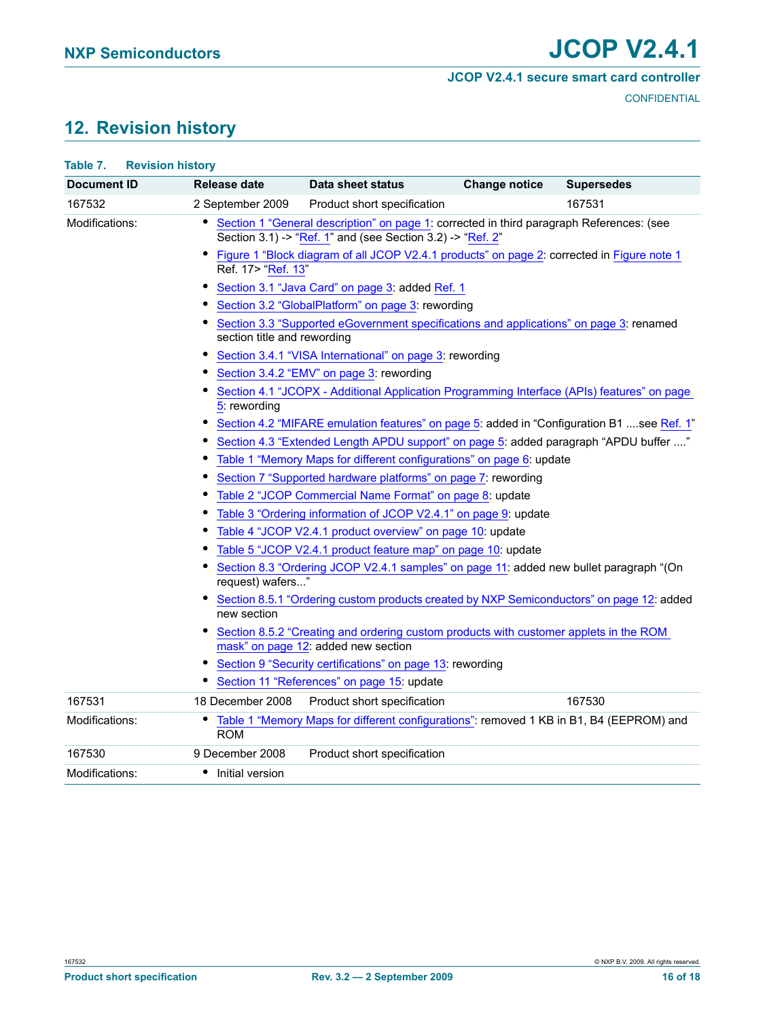#### **JCOP V2.4.1 secure smart card controller**

**CONFIDENTIAL** 

## <span id="page-15-1"></span>**12. Revision history**

<span id="page-15-0"></span>

| Table 7.           | <b>Revision history</b>                                                                                                                              |                                                                                                                                                                                                                                                                                                                                                                                                                                                                                                                                                                                                                                                                                                                                                                                                                                                                                                                                                                                                                                                                                                                                                                                                                                                                                  |                      |                   |  |  |  |  |
|--------------------|------------------------------------------------------------------------------------------------------------------------------------------------------|----------------------------------------------------------------------------------------------------------------------------------------------------------------------------------------------------------------------------------------------------------------------------------------------------------------------------------------------------------------------------------------------------------------------------------------------------------------------------------------------------------------------------------------------------------------------------------------------------------------------------------------------------------------------------------------------------------------------------------------------------------------------------------------------------------------------------------------------------------------------------------------------------------------------------------------------------------------------------------------------------------------------------------------------------------------------------------------------------------------------------------------------------------------------------------------------------------------------------------------------------------------------------------|----------------------|-------------------|--|--|--|--|
| <b>Document ID</b> | Release date                                                                                                                                         | Data sheet status                                                                                                                                                                                                                                                                                                                                                                                                                                                                                                                                                                                                                                                                                                                                                                                                                                                                                                                                                                                                                                                                                                                                                                                                                                                                | <b>Change notice</b> | <b>Supersedes</b> |  |  |  |  |
| 167532             | 2 September 2009                                                                                                                                     | Product short specification                                                                                                                                                                                                                                                                                                                                                                                                                                                                                                                                                                                                                                                                                                                                                                                                                                                                                                                                                                                                                                                                                                                                                                                                                                                      |                      | 167531            |  |  |  |  |
| Modifications:     |                                                                                                                                                      | Section 1 "General description" on page 1: corrected in third paragraph References: (see<br>Section 3.1) -> "Ref. 1" and (see Section 3.2) -> "Ref. 2"                                                                                                                                                                                                                                                                                                                                                                                                                                                                                                                                                                                                                                                                                                                                                                                                                                                                                                                                                                                                                                                                                                                           |                      |                   |  |  |  |  |
|                    | Ref. 17> "Ref. 13"<br>٠<br>section title and rewording<br>٠<br>٠<br>5: rewording<br>٠<br>٠<br>٠<br>٠<br>$\bullet$<br>request) wafers"<br>new section | Figure 1 "Block diagram of all JCOP V2.4.1 products" on page 2: corrected in Figure note 1<br>Section 3.1 "Java Card" on page 3: added Ref. 1<br>Section 3.2 "GlobalPlatform" on page 3: rewording<br>Section 3.3 "Supported eGovernment specifications and applications" on page 3: renamed<br>Section 3.4.1 "VISA International" on page 3: rewording<br>Section 3.4.2 "EMV" on page 3: rewording<br>Section 4.1 "JCOPX - Additional Application Programming Interface (APIs) features" on page<br>Section 4.2 "MIFARE emulation features" on page 5: added in "Configuration B1 see Ref. 1"<br>Section 4.3 "Extended Length APDU support" on page 5: added paragraph "APDU buffer "<br>Table 1 "Memory Maps for different configurations" on page 6: update<br>Section 7 "Supported hardware platforms" on page 7: rewording<br>Table 2 "JCOP Commercial Name Format" on page 8: update<br>Table 3 "Ordering information of JCOP V2.4.1" on page 9: update<br>Table 4 "JCOP V2.4.1 product overview" on page 10: update<br>Table 5 "JCOP V2.4.1 product feature map" on page 10: update<br>Section 8.3 "Ordering JCOP V2.4.1 samples" on page 11: added new bullet paragraph "(On<br>Section 8.5.1 "Ordering custom products created by NXP Semiconductors" on page 12: added |                      |                   |  |  |  |  |
|                    |                                                                                                                                                      | Section 8.5.2 "Creating and ordering custom products with customer applets in the ROM<br>mask" on page 12: added new section                                                                                                                                                                                                                                                                                                                                                                                                                                                                                                                                                                                                                                                                                                                                                                                                                                                                                                                                                                                                                                                                                                                                                     |                      |                   |  |  |  |  |
|                    | Section 9 "Security certifications" on page 13: rewording<br>٠                                                                                       |                                                                                                                                                                                                                                                                                                                                                                                                                                                                                                                                                                                                                                                                                                                                                                                                                                                                                                                                                                                                                                                                                                                                                                                                                                                                                  |                      |                   |  |  |  |  |
|                    |                                                                                                                                                      | Section 11 "References" on page 15: update                                                                                                                                                                                                                                                                                                                                                                                                                                                                                                                                                                                                                                                                                                                                                                                                                                                                                                                                                                                                                                                                                                                                                                                                                                       |                      |                   |  |  |  |  |
| 167531             | 18 December 2008                                                                                                                                     | Product short specification                                                                                                                                                                                                                                                                                                                                                                                                                                                                                                                                                                                                                                                                                                                                                                                                                                                                                                                                                                                                                                                                                                                                                                                                                                                      |                      | 167530            |  |  |  |  |
| Modifications:     | ٠<br><b>ROM</b>                                                                                                                                      | Table 1 "Memory Maps for different configurations": removed 1 KB in B1, B4 (EEPROM) and                                                                                                                                                                                                                                                                                                                                                                                                                                                                                                                                                                                                                                                                                                                                                                                                                                                                                                                                                                                                                                                                                                                                                                                          |                      |                   |  |  |  |  |
| 167530             | 9 December 2008                                                                                                                                      | Product short specification                                                                                                                                                                                                                                                                                                                                                                                                                                                                                                                                                                                                                                                                                                                                                                                                                                                                                                                                                                                                                                                                                                                                                                                                                                                      |                      |                   |  |  |  |  |
| Modifications:     | • Initial version                                                                                                                                    |                                                                                                                                                                                                                                                                                                                                                                                                                                                                                                                                                                                                                                                                                                                                                                                                                                                                                                                                                                                                                                                                                                                                                                                                                                                                                  |                      |                   |  |  |  |  |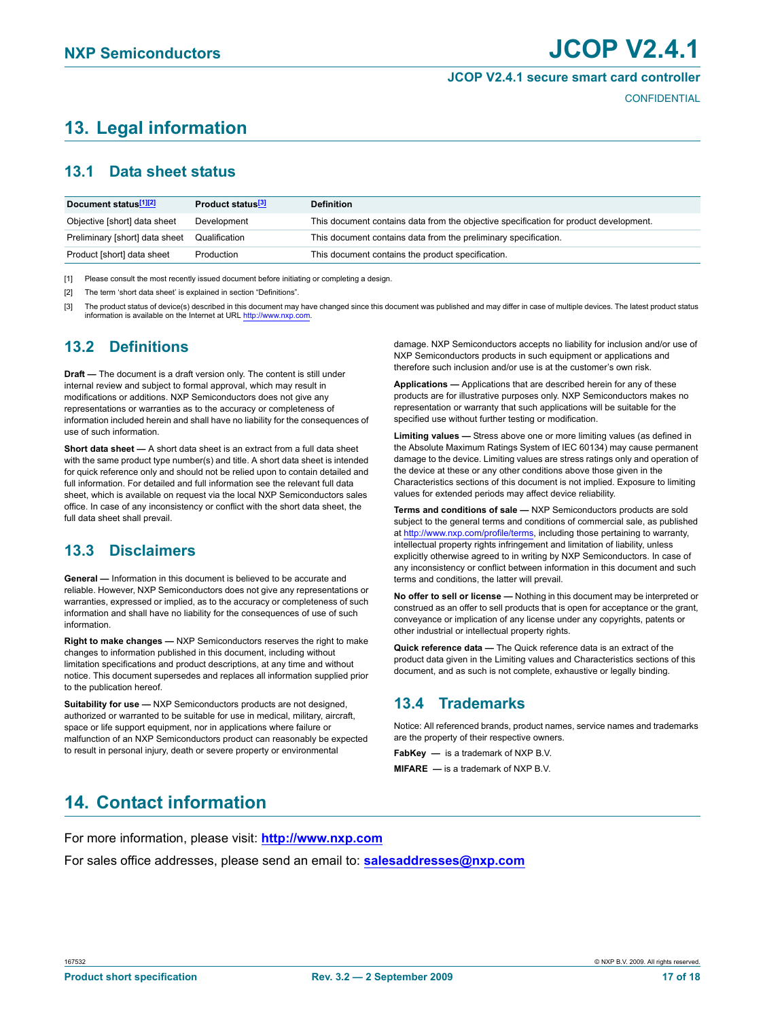#### **JCOP V2.4.1 secure smart card controller**

**CONFIDENTIAL** 

# <span id="page-16-0"></span>**13. Legal information**

## <span id="page-16-1"></span>**13.1 Data sheet status**

| Document status <sup>[1][2]</sup> | Product status <sup>[3]</sup> | <b>Definition</b>                                                                     |
|-----------------------------------|-------------------------------|---------------------------------------------------------------------------------------|
| Objective [short] data sheet      | Development                   | This document contains data from the objective specification for product development. |
| Preliminary [short] data sheet    | Qualification                 | This document contains data from the preliminary specification.                       |
| Product [short] data sheet        | Production                    | This document contains the product specification.                                     |
|                                   |                               |                                                                                       |

[1] Please consult the most recently issued document before initiating or completing a design.

[2] The term 'short data sheet' is explained in section "Definitions".

[3] The product status of device(s) described in this document may have changed since this document was published and may differ in case of multiple devices. The latest product status information is available on the Internet at URL <http://www.nxp.com>.

## <span id="page-16-2"></span>**13.2 Definitions**

**Draft —** The document is a draft version only. The content is still under internal review and subject to formal approval, which may result in modifications or additions. NXP Semiconductors does not give any representations or warranties as to the accuracy or completeness of information included herein and shall have no liability for the consequences of use of such information.

**Short data sheet —** A short data sheet is an extract from a full data sheet with the same product type number(s) and title. A short data sheet is intended for quick reference only and should not be relied upon to contain detailed and full information. For detailed and full information see the relevant full data sheet, which is available on request via the local NXP Semiconductors sales office. In case of any inconsistency or conflict with the short data sheet, the full data sheet shall prevail.

## <span id="page-16-3"></span>**13.3 Disclaimers**

**General —** Information in this document is believed to be accurate and reliable. However, NXP Semiconductors does not give any representations or warranties, expressed or implied, as to the accuracy or completeness of such information and shall have no liability for the consequences of use of such information.

**Right to make changes —** NXP Semiconductors reserves the right to make changes to information published in this document, including without limitation specifications and product descriptions, at any time and without notice. This document supersedes and replaces all information supplied prior to the publication hereof.

**Suitability for use —** NXP Semiconductors products are not designed, authorized or warranted to be suitable for use in medical, military, aircraft, space or life support equipment, nor in applications where failure or malfunction of an NXP Semiconductors product can reasonably be expected to result in personal injury, death or severe property or environmental

damage. NXP Semiconductors accepts no liability for inclusion and/or use of NXP Semiconductors products in such equipment or applications and therefore such inclusion and/or use is at the customer's own risk.

**Applications —** Applications that are described herein for any of these products are for illustrative purposes only. NXP Semiconductors makes no representation or warranty that such applications will be suitable for the specified use without further testing or modification.

**Limiting values —** Stress above one or more limiting values (as defined in the Absolute Maximum Ratings System of IEC 60134) may cause permanent damage to the device. Limiting values are stress ratings only and operation of the device at these or any other conditions above those given in the Characteristics sections of this document is not implied. Exposure to limiting values for extended periods may affect device reliability.

**Terms and conditions of sale —** NXP Semiconductors products are sold subject to the general terms and conditions of commercial sale, as published at<http://www.nxp.com/profile/terms>, including those pertaining to warranty, intellectual property rights infringement and limitation of liability, unless explicitly otherwise agreed to in writing by NXP Semiconductors. In case of any inconsistency or conflict between information in this document and such terms and conditions, the latter will prevail.

**No offer to sell or license —** Nothing in this document may be interpreted or construed as an offer to sell products that is open for acceptance or the grant, conveyance or implication of any license under any copyrights, patents or other industrial or intellectual property rights.

**Quick reference data —** The Quick reference data is an extract of the product data given in the Limiting values and Characteristics sections of this document, and as such is not complete, exhaustive or legally binding.

## <span id="page-16-4"></span>**13.4 Trademarks**

Notice: All referenced brands, product names, service names and trademarks are the property of their respective owners.

**FabKey —** is a trademark of NXP B.V.

**MIFARE —** is a trademark of NXP B.V.

## <span id="page-16-5"></span>**14. Contact information**

For more information, please visit: **http://www.nxp.com**

For sales office addresses, please send an email to: **salesaddresses@nxp.com**